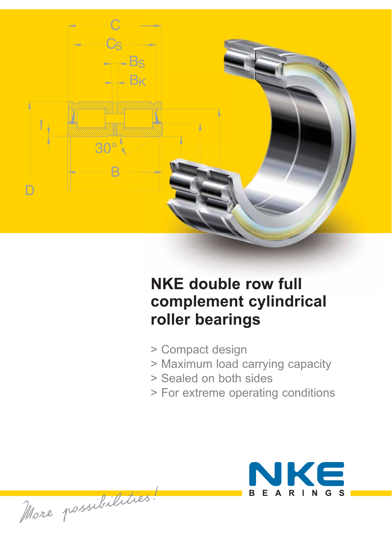

# **NKE double row full complement cylindrical roller bearings**

- > Compact design
- > Maximum load carrying capacity
- > Sealed on both sides
- > For extreme operating conditions



More possibilities!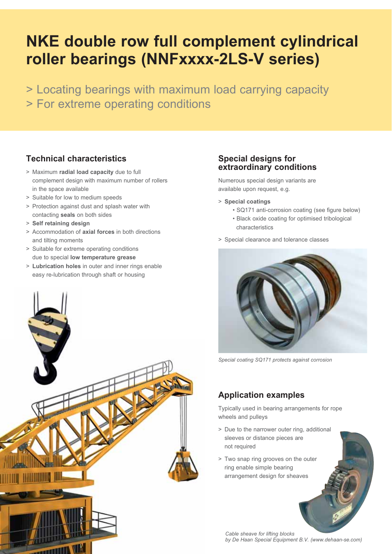# **NKE double row full complement cylindrical roller bearings (NNFxxxx-2LS-V series)**

> Locating bearings with maximum load carrying capacity > For extreme operating conditions

### **Technical characteristics**

- > Maximum **radial load capacity** due to full complement design with maximum number of rollers in the space available
- > Suitable for low to medium speeds
- > Protection against dust and splash water with contacting **seals** on both sides
- > **Self retaining design**
- > Accommodation of **axial forces** in both directions and tilting moments
- > Suitable for extreme operating conditions due to special **low temperature grease**
- > **Lubrication holes** in outer and inner rings enable easy re-lubrication through shaft or housing



#### **Special designs for extraordinary conditions**

Numerous special design variants are available upon request, e.g.

- > **Special coatings**
	- SQ171 anti-corrosion coating (see figure below)
	- Black oxide coating for optimised tribological characteristics
- > Special clearance and tolerance classes



*Special coating SQ171 protects against corrosion* 

### **Application examples**

Typically used in bearing arrangements for rope wheels and pulleys

- > Due to the narrower outer ring, additional sleeves or distance pieces are not required
- > Two snap ring grooves on the outer ring enable simple bearing arrangement design for sheaves

*Cable sheave for lifting blocks by De Haan Special Equipment B.V. (www.dehaan-se.com)*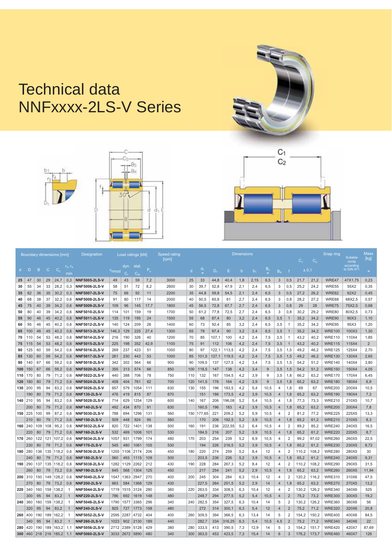## Technical data NNFxxxx-2LS-V Series





| Boundary dimensions [mm] |              |                |              |             |              | <b>Designation</b>   | Load ratings [kN] |           |                |       | Speed rating<br>rpm | <b>Dimensions</b><br>C <sub>2</sub><br>$C_{1}$ |        |       |        |             |                |         |                |                |       |       | Snap ring     | Suitable<br>circlip     | <b>Mass</b><br>[kg] |
|--------------------------|--------------|----------------|--------------|-------------|--------------|----------------------|-------------------|-----------|----------------|-------|---------------------|------------------------------------------------|--------|-------|--------|-------------|----------------|---------|----------------|----------------|-------|-------|---------------|-------------------------|---------------------|
| d.                       | $\mathsf{D}$ | $\overline{B}$ | $\mathbf{C}$ | $C_{\rm s}$ | min          |                      | c <sub>rmod</sub> | dyn.<br>C | stat.<br>$C_n$ | $P_u$ |                     | $\mathsf{d}$                                   | $d_1$  | $D_4$ | E      | $\mathbf b$ | b <sub>4</sub> | $B_{s}$ | B <sub>K</sub> |                | ± 0,1 |       |               | according<br>to DIN 471 | $\approx$           |
| 25                       | 47           | 30             | 29           | 24,7        | 0.3          | <b>NNF5005-2LS-V</b> | 49                | 43        | 59             | 7,2   | 3000                | 25                                             | 33     | 44.8  | 40,4   | 1,8         | 2,15           | 6,5     | 3              | 0,5            | 21.7  | 21,2  | WRE47         | 47X1.75                 | 0.23                |
| 30                       | 55           | 34             | 33           | 28,2        | 0,3          | <b>NNF5006-2LS-V</b> | 58                | 51        | 72             | 8,2   | 2600                | 30                                             | 39,7   | 52,8  | 47,9   | 2,1         | 2,4            | 6,5     | 3              | 0,5            | 25,2  | 24,2  | WRE55         | 55X2                    | 0,35                |
| 35                       | 62           | 36             | 35           | 30,2        | 0.3          | <b>NNF5007-2LS-V</b> | 75                | 66        | 92             | 11    | 2200                | 35                                             | 44,8   | 59,8  | 54,5   | 2,1         | 2,4            | 6,5     | 3              | 0,5            | 27,2  | 26,2  | WRE62         | 62X2                    | 0.45                |
| 40                       | 68           | 38             | 37           | 32,2        | 0.6          | NNF5008-2LS-V        | 91                | 80        | 117            | 14    | 2000                | 40                                             | 50.5   | 65,8  | 61     | 2,7         | 2,4            | 6,5     | 3              | 0,8            | 28,2  | 27,2  | WRE68         | 68X2.5                  | 0.57                |
| 45                       | 75           | 40             | 39           | 34,2        | 0.6          | <b>NNF5009-2LS-V</b> | 109               | 96        | 145            | 17,7  | 1800                | 45                                             | 56.5   | 72.8  | 67,7   | 2,7         | 2,4            | 6,5     | 3              | 0,8            | 29    | 28    | WRE75         | 75X2.5                  | 0.68                |
| 50                       | 80           | 40             | 39           | 34,2        | 0.6          | <b>NNF5010-2LS-V</b> | 114               | 101       | 159            | 19    | 1700                | 50                                             | 61.2   | 77,8  | 72,5   | 2,7         | 2.4            | 6,5     | 3              | 0,8            | 30,2  | 29,2  | WRE80         | 80X2.5                  | 0.73                |
| 55                       | 90           | 46             | 45           | 40,2        | 0,6          | <b>NNF5011-2LS-V</b> | 135               | 119       | 195            | 24    | 1500                | 55                                             | 68     | 87,4  | 80     | 3,2         | 2,4            | 6,5     | 3,5            | $\overline{1}$ | 35,2  | 34,2  | WRE90         | 90X3                    | 1,10                |
| 60                       | 95           | 46             | 45           | 40,2        | 0.6          | NNF5012-2LS-V        | 140               | 124       | 209            | 26    | 1400                | 60                                             | 73     | 92.4  | 85     | 3.2         | 2.4            | 6.5     | 3,5            | $\mathbf{1}$   | 35.2  | 34.2  | WRE95         | 95X3                    | 1.20                |
| 65                       | 100          | 46             | 45           | 40,2        | 0,6          | <b>NNF5013-2LS-V</b> | 146,3             | 129       | 225            | 27,4  | 1300                | 65                                             | 78     | 97,4  | 90     | 3,2         | 2,4            | 6,5     | 3,5            | $\overline{1}$ | 35,2  | 34,2  | <b>WRE100</b> | 100X3                   | 1,30                |
| 70                       | 110          | 54             | 53           | 48.2        | 0.6          | NNF5014-2LS-V        | 216               | 190       | 326            | 40    | 1200                | 70                                             | 85     | 107.1 | 100    | 4,2         | 2.4            | 7.5     | 3,5            | $\overline{1}$ | 43.2  | 40.2  | <b>WRE110</b> | 110X4                   | 1.85                |
| 75                       | 115          | 54             | 53           | 48,2        | 0,6          | <b>NNF5015-2LS-V</b> | 225               | 198       | 352            | 42,9  | 1100                | 75                                             | 91     | 112   | 106    | 4,2         | 2,4            | 7,5     | 3,5            | $\overline{1}$ | 43,2  | 40,2  | <b>WRE115</b> | 115X4                   | $\overline{2}$      |
| 80                       | 125          | 60             | 59           | 54,2        | 0.6          | NNF5016-2LS-V        | 269               | 237       | 423            | 51    | 1000                | 80                                             | 97     | 122.1 | 113.5  | 4.2         | 2.4            | 7.5     | 3,5            | 1,5            | 49.2  | 46.2  | <b>WRE125</b> | 125X4                   | 2.70                |
| 85                       | 130          | 60             | 59           | 54,2        | 0.6          | <b>NNF5017-2LS-V</b> | 261               | 230       | 443            | 53    | 1000                | 85                                             | 101,5  | 127,1 | 119,5  | 4,2         | 2,4            | 7,5     | 3,5            | 1,5            | 49,2  | 46,2  | <b>WRE130</b> | 130X4                   | 2,65                |
| 90                       | 140          | 67             | 66           | 59,2        | 0.6          | NNF5018-2LS-V        | 342               | 302       | 564            | 66    | 900                 | 90                                             | 109.5  | 137   | 127,5  | 4,2         | 3,4            | 7.5     | 3,5            | 1,5            | 54,2  | 51.2  | <b>WRE140</b> | 140X4                   | 3.80                |
| 100                      | 150          | 67             | 66           | 59,2        | 0.6          | <b>NNF5020-2LS-V</b> | 355               | 313       | 574            | 66    | 850                 | 100                                            | 118.5  | 147   | 138    | 4,2         | 3,4            | 9       | 3,5            | 1,5            | 54,2  | 51,2  | <b>WRE150</b> | 150X4                   | 4.05                |
| 110                      | 170          | 80             | 79           | 71,2        | 0.6          | NNF5022-2LS-V        | 440               | 388       | 706            | 78    | 750                 | 110                                            | 132    | 167   | 154,5  | 4,2         | 3,9            | 9       | 3,5            | 1,8            | 66,2  | 63,2  | <b>WRE170</b> | 170X4                   | 6,45                |
| 120                      | 180          | 80             | 79           | 71.2        | 0.6          | <b>NNF5024-2LS-V</b> | 458               | 404       | 761            | 82    | 700                 | 120                                            | 141.5  | 176   | 164    | 4,2         | 3,9            | 9       | 3,5            | 1,8            | 65.2  | 63,2  | <b>WRE180</b> | 180X4                   | 6.9                 |
| 130                      | 200          | 95             | 94           | 83,2        | 0.6          | NNF5026-2LS-V        | 657               | 579       | 1054           | 111   | 630                 | 130                                            | 155    | 196   | 183,5  | 4,2         | 5,4            | 10,5    | 4              | 1,8            | 69    | 67    | <b>WRE200</b> | 200X4                   | 10.5                |
|                          | 190          | 80             | 79           | 71.2        | 0.6          | <b>NNF130-2LS-V</b>  | 476               | 419       | 815            | 87    | 670                 |                                                | 151    | 186   | 173,5  | 4.2         | 3,9            | 10.5    | $\overline{4}$ | 1,8            | 65.2  | 63,2  | <b>WRE190</b> | 190X4                   | 7.3                 |
| 140                      | 210          | 95             | 94           | 83,2        | 0,6          | NNF5028-2LS-V        | 714               | 629       | 1254           | 129   | 600                 | 140                                            | 167    | 206   | 196,08 | 5,2         | 5,4            | 10,5    | 4              | 1,8            | 77,3  | 73,3  | <b>WRE210</b> | 210X5                   | 10.7                |
|                          | 200          | 80             | 79           | 71.2        | 0.6          | <b>NNF140-2LS-V</b>  | 492               | 434       | 870            | 91    | 630                 |                                                | 160.5  | 196   | 183    | 4.2         | 3.9            | 10.5    | $\overline{4}$ | 1,8            | 65.2  | 63.2  | <b>WRE200</b> | 200X4                   | 7.8                 |
| 150                      | 225          | 100            | 99           | 87,2        | 0.6          | NNF5030-2LS-V        | 788               | 694       | 1296           | 131   | 560                 | 150                                            | 177,65 | 221   | 209,2  | 5,2         | 5,9            | 10,5    | 4              | $\overline{2}$ | 81,2  | 77,2  | <b>WRE225</b> | 225X5                   | 13,3                |
|                          | 210          | 80             | 79           | 71,2        | 0.6          | <b>NNF150-2LS-V</b>  | 509               | 448       | 924            | 95    | 560                 |                                                | 170    | 206   | 192,5  | 5,2         | 3,9            | 10,5    | $\overline{4}$ | 1,8            | 65,2  | 61,2  | <b>WRE210</b> | 210X5                   | 8.3                 |
| 160                      | 240          | 109            | 108          | 95,2        | 0.6          | NNF5032-2LS-V        | 820               | 722       | 1401           | 138   | 500                 | 160                                            | 191    | 236   | 222,55 | 5,2         | 6,4            | 10,5    | 4              | $\overline{2}$ | 89.2  | 85,2  | <b>WRE240</b> | 240X5                   | 16.5                |
|                          | 220          | 80             | 79           | 71,2        | 0.6          | <b>NNF160-2LS-V</b>  | 532               | 469       | 1006           | 101   | 530                 |                                                | 184,5  | 216   | 207    | 5,2         | 3,9            | 10,5    | $\overline{4}$ | 1,8            | 65,2  | 61,2  | <b>WRE220</b> | 220X5                   | 8,7                 |
| 170                      | 260          | 122            | 121          | 107.2       | 0.6          | NNF5034-2LS-V        | 1057              | 931       | 1799           | 174   | 480                 | 170                                            | 203    | 254   | 239    | 5.2         | 6.9            | 10.5    | 4              | $\overline{2}$ | 99.2  | 97.02 | <b>WRE260</b> | 260X5                   | 22.5                |
|                          | 230          | 80             | 79           | 71,2        | 0.6          | <b>NNF170-2LS-V</b>  | 545               | 480       | 1061           | 105   | 530                 |                                                | 194    | 226   | 216,5  | 5,2         | 3,9            | 10,5    | $\overline{4}$ | 1,8            | 65,2  | 61,2  | <b>WRE230</b> | 230X5                   | 8,72                |
| 180                      | 280          | 136            | 135          | 118.2       | 0.6          | NNF5036-2LS-V        | 1255              | 1106      | 2174           | 206   | 450                 | 180                                            | 220    | 274   | 259    | 5.2         | 8.4            | 12      | 4              | 2              | 110.2 | 108.2 | <b>WRE280</b> | 280X5                   | 30                  |
|                          | 240          | 80             | 79           | 71,2        | 0.6          | <b>NNF180-2LS-V</b>  | 560               | 493       | 1115           | 109   | 500                 |                                                | 203,5  | 236   | 226    | 5,2         | 3,9            | 10,5    | $\overline{4}$ | 1,8            | 65,2  | 61,2  | <b>WRE240</b> | 240X5                   | 9.31                |
| 190                      | 290          | 137            | 135          | 118.2       | 0.6          | <b>NNF5038-2LS-V</b> | 1282              | 1129      | 2262           | 212   | 430                 | 190                                            | 228    | 284   | 267.3  | 5.2         | 8.4            | 12      | 4              | 2              | 110.2 | 108.2 | <b>WRE290</b> | 290X5                   | 31.5                |
|                          | 260          | 80             | 79           | 73,2        | 0.6          | <b>NNF190-2LS-V</b>  | 645               | 568       | 1304           | 125   | 450                 |                                                | 217    | 254   | 241    | 5,2         | 2,9            | 10.5    | $\overline{4}$ | 1,8            | 65.2  | 63,2  | <b>WRE260</b> | 260X5                   | 11.94               |
| 200                      | 310          | 150            | 149          | 128,2       | 0,6          | NNF5040-2LS-V        | 1547              | 1363      | 2947           | 270   | 400                 | 200                                            | 245    | 304   | 284    | 6,3         | 10,4           | 12      | 4              | 2              | 120,2 | 116,2 | <b>WRE310</b> | 310X6                   | 47,5                |
|                          | 270          | 80             | 79           | 73,2        | 0.6          | <b>NNF200-2LS-V</b>  | 663               | 584       | 1368           | 129   | 430                 |                                                | 227,5  | 264   | 251,5  | 5,2         | 2,9            | 14      | $\overline{4}$ | 1,8            | 65,2  | 63,2  | <b>WRE270</b> | 270X5                   | 13.2                |
| 220                      | 340          | 160            | 159          | 138,2       | $\mathbf{1}$ | <b>NNF5044-2LS-V</b> | 1719              | 1515      | 3124           | 280   | 360                 | 220                                            | 263,5  | 334   | 308,5  | 6,3         | 10,4           | 12      | 4              | $\overline{2}$ | 130,2 | 126,2 | <b>WRE340</b> | 340X6                   | 525                 |
|                          | 300          | 95             | 94           | 83,2        | $\mathbf{1}$ | <b>NNF220-2LS-V</b>  | 786               | 692       | 1619           | 148   | 480                 |                                                | 248.7  | 294   | 277,5  | 5,2         | 5,4            | 10,5    | $\overline{4}$ | $\overline{2}$ | 75,2  | 73,2  | <b>WRE300</b> | 300X5                   | 19.2                |
| 240                      | 360          | 160            | 159          | 138.2       | $\mathbf{1}$ | NNF5048-2LS-V        | 1790              | 1577      | 3365           | 296   | 340                 | 240                                            | 282.5  | 354   | 327,5  | 6,3         | 10.4           | 14      | 5              | 2              | 130.2 | 126.2 | <b>WRE360</b> | 360X6                   | 56                  |
|                          | 320          | 95             | 94           | 83.2        | $\mathbf{1}$ | <b>NNF240-2LS-V</b>  | 825               | 727       | 1773           | 158   | 480                 |                                                | 272    | 314   | 300.1  | 6.3         | 5.4            | 12      | $\overline{4}$ | $\overline{2}$ | 75.2  | 71.2  | <b>WRE320</b> | 320X6                   | 20.8                |
| 260                      | 400          | 190            | 189          | 162.2       | $\mathbf{1}$ | NNF5052-2LS-V        | 2595              | 2287      | 4732           | 404   | 400                 | 260                                            | 309.5  | 394   | 366,5  | 6,3         | 13.4           | 14      | 5              | 2              | 154.2 | 150.2 | <b>WRE400</b> | 400X6                   | 84.5                |
|                          | 340          | 95             | 94           | 83,2        | $\mathbf{1}$ | <b>NNF260-2LS-V</b>  | 1023              | 902       | 2130           | 189   | 440                 |                                                | 282,7  | 334   | 316,25 | 6,3         | 5,4            | 10,5    | 4,5            | $\overline{2}$ | 75,2  | 71,2  | <b>WRE340</b> | 340X6                   | 22                  |
| 280                      | 420          | 190            | 189          | 163.2       | 1.1          | NNF5056-2LS-V        | 2712              | 2389      | 5128           | 429   | 380                 | 280                                            | 333.5  | 413   | 390,5  | 7.3         | 12.9           | 14      | 5              | 3              | 154,2 | 151.7 | <b>WRE420</b> | 420X7                   | 87.69               |
| 300                      | 460          | 218            | 216          | 185,2       | 1,1          | <b>NNF5060-2LS-V</b> | 3033              | 2672      | 5890           | 480   | 340                 | 300                                            | 363,5  | 453   | 423,5  | 7,3         | 15,4           | 14      | 6              | 3              | 176,2 | 173,7 | <b>WRE460</b> | 460X7                   | 126                 |